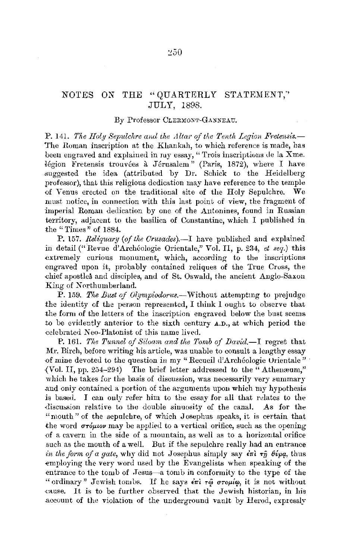## NOTES ON "QUARTERLY STATEMENT," THE **JULY. 1898.**

## By Professor CLERMONT-GANNEAU.

P. 141. The Holy Sepulchre and the Altar of the Tenth Legion Fretensis.— The Roman inscription at the Khankah, to which reference is made, bas been engraved and explained in my essay, "Trois inscriptions de la Xme. légion Fretensis trouvées à Jérusalem" (Paris, 1872), where I have suggested the idea (attributed by Dr. Schick to the Heidelberg professor), that this religious dedication may have reference to the temple of Venus erected on the traditional site of the Holy Sepulchre. **We** must notice, in connection with this last point of view, the fragment of imperial Roman dedication by one of the Autonines, found in Russian territory, adjacent to the basilica of Constantine, which I published in the "Times" of 1884.

P. 157. Reliquary (of the Crusades).—I have published and explained in detail ("Revue d'Archéologie Orientale," Vol. II, p. 234, et seq.) this extremely curious monument, which, according to the inscriptions engraved upon it, probably contained reliques of the True Cross, the chief apostles and disciples, and of St. Oswald, the ancient Anglo-Saxon King of Northumberland.

P. 159. The Bust of Olympiodorus.-Without attempting to prejudge the identity of the person represented, I think I ought to observe that the form of the letters of the inscription engraved below the bust seems to be evidently anterior to the sixth century A.D., at which period the celebrated Neo-Platonist of this name lived.

P. 161. The Tunnel of Siloam and the Tomb of David.-I regret that Mr. Birch, before writing his article, was unable to consult a lengthy essay of mine devoted to the question in my "Recueil d'Archéologie Orientale" (Vol. II, pp. 254-294) The brief letter addressed to the "Athenæum," which he takes for the basis of discussion, was necessarily very summary and only contained a portion of the arguments upon which my hypothesis is based. I can only refer him to the essay for all that relates to the discussion relative to the double sinuosity of the canal. As for the "nouth" of the sepulchre, of which Josephus speaks, it is certain that the word  $\sigma r \phi \mu \omega$  may be applied to a vertical orifice, such as the opening of a cavern in the side of a mountain, as well as to a horizontal orifice such as the mouth of a well. But if the sepulchre really had an entrance in the form of a gate, why did not Josephus simply say  $\epsilon \pi i$   $\tau \hat{\eta}$   $\theta \hat{\nu} \rho q$ , thus employing the very word used by the Evangelists when speaking of the entrance to the tomb of Jesus-a tomb in conformity to the type of the "ordinary" Jewish tombs. If he says  $\epsilon \pi i \tau \hat{\varphi}$   $\sigma \tau o \mu i \varphi$ , it is not without cause. It is to be further observed that the Jewish historian, in his account of the violation of the underground vault by Herod, expressly